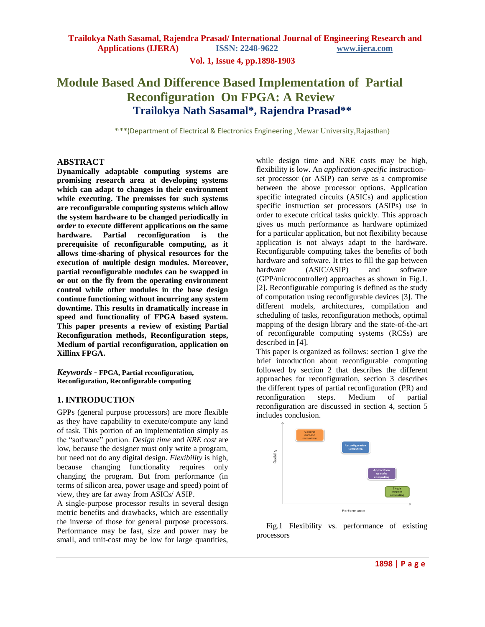**Vol. 1, Issue 4, pp.1898-1903**

# **Module Based And Difference Based Implementation of Partial Reconfiguration On FPGA: A Review Trailokya Nath Sasamal\*, Rajendra Prasad\*\***

 $*$ , \*\*(Department of Electrical & Electronics Engineering ,Mewar University,Rajasthan)

# **ABSTRACT**

**Dynamically adaptable computing systems are promising research area at developing systems which can adapt to changes in their environment while executing. The premisses for such systems are reconfigurable computing systems which allow the system hardware to be changed periodically in order to execute different applications on the same hardware. Partial reconfiguration is the prerequisite of reconfigurable computing, as it allows time-sharing of physical resources for the execution of multiple design modules. Moreover, partial reconfigurable modules can be swapped in or out on the fly from the operating environment control while other modules in the base design continue functioning without incurring any system downtime. This results in dramatically increase in speed and functionality of FPGA based system. This paper presents a review of existing Partial Reconfiguration methods, Reconfiguration steps, Medium of partial reconfiguration, application on Xillinx FPGA.** 

*Keywords* **- FPGA, Partial reconfiguration, Reconfiguration, Reconfigurable computing**

# **1. INTRODUCTION**

GPPs (general purpose processors) are more flexible as they have capability to execute/compute any kind of task. This portion of an implementation simply as the "software" portion. *Design time* and *NRE cost* are low, because the designer must only write a program, but need not do any digital design. *Flexibility* is high, because changing functionality requires only changing the program. But from performance (in terms of silicon area, power usage and speed) point of view, they are far away from ASICs/ ASIP.

A single-purpose processor results in several design metric benefits and drawbacks, which are essentially the inverse of those for general purpose processors. Performance may be fast, size and power may be small, and unit-cost may be low for large quantities,

while design time and NRE costs may be high, flexibility is low. An *application-specific* instructionset processor (or ASIP) can serve as a compromise between the above processor options. Application specific integrated circuits (ASICs) and application specific instruction set processors (ASIPs) use in order to execute critical tasks quickly. This approach gives us much performance as hardware optimized for a particular application, but not flexibility because application is not always adapt to the hardware. Reconfigurable computing takes the benefits of both hardware and software. It tries to fill the gap between hardware (ASIC/ASIP) and software (GPP/microcontroller) approaches as shown in Fig.1. [2]. Reconfigurable computing is defined as the study of computation using reconfigurable devices [3]. The different models, architectures, compilation and scheduling of tasks, reconfiguration methods, optimal mapping of the design library and the state-of-the-art of reconfigurable computing systems (RCSs) are described in [4].

This paper is organized as follows: section 1 give the brief introduction about reconfigurable computing followed by section 2 that describes the different approaches for reconfiguration, section 3 describes the different types of partial reconfiguration (PR) and reconfiguration steps. Medium of partial reconfiguration are discussed in section 4, section 5 includes conclusion.



 Fig.1 Flexibility vs. performance of existing processors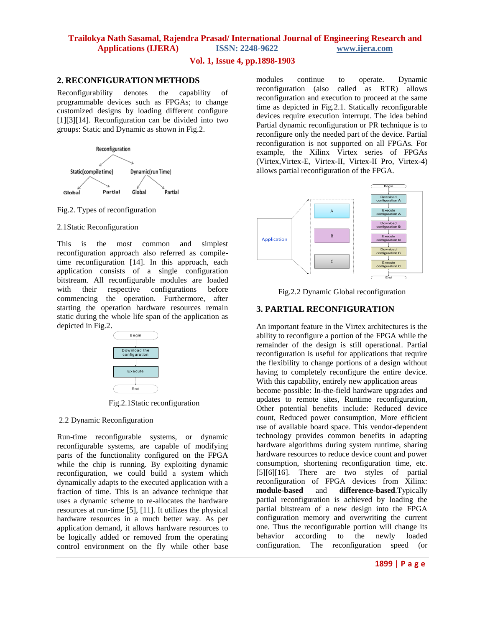# **Vol. 1, Issue 4, pp.1898-1903**

# **2. RECONFIGURATION METHODS**

Reconfigurability denotes the capability of programmable devices such as FPGAs; to change customized designs by loading different configure [1][3][14]. Reconfiguration can be divided into two groups: Static and Dynamic as shown in Fig.2.



Fig.2. Types of reconfiguration

### 2.1Static Reconfiguration

This is the most common and simplest reconfiguration approach also referred as compiletime reconfiguration [14]. In this approach, each application consists of a single configuration bitstream. All reconfigurable modules are loaded with their respective configurations before commencing the operation. Furthermore, after starting the operation hardware resources remain static during the whole life span of the application as depicted in Fig.2.



Fig.2.1Static reconfiguration

# 2.2 Dynamic Reconfiguration

Run-time reconfigurable systems, or dynamic reconfigurable systems, are capable of modifying parts of the functionality configured on the FPGA while the chip is running. By exploiting dynamic reconfiguration, we could build a system which dynamically adapts to the executed application with a fraction of time. This is an advance technique that uses a dynamic scheme to re-allocates the hardware resources at run-time [5], [11]. It utilizes the physical hardware resources in a much better way. As per application demand, it allows hardware resources to be logically added or removed from the operating control environment on the fly while other base modules continue to operate. Dynamic reconfiguration (also called as RTR) allows reconfiguration and execution to proceed at the same time as depicted in Fig.2.1. Statically reconfigurable devices require execution interrupt. The idea behind Partial dynamic reconfiguration or PR technique is to reconfigure only the needed part of the device. Partial reconfiguration is not supported on all FPGAs. For example, the Xilinx Virtex series of FPGAs (Virtex,Virtex-E, Virtex-II, Virtex-II Pro, Virtex-4) allows partial reconfiguration of the FPGA.



Fig.2.2 Dynamic Global reconfiguration

# **3. PARTIAL RECONFIGURATION**

An important feature in the Virtex architectures is the ability to reconfigure a portion of the FPGA while the remainder of the design is still operational. Partial reconfiguration is useful for applications that require the flexibility to change portions of a design without having to completely reconfigure the entire device. With this capability, entirely new application areas become possible: In-the-field hardware upgrades and updates to remote sites, Runtime reconfiguration, Other potential benefits include: Reduced device count, Reduced power consumption, More efficient use of available board space. This vendor-dependent technology provides common benefits in adapting hardware algorithms during system runtime, sharing hardware resources to reduce device count and power consumption, shortening reconfiguration time, etc. [5][6][16]. There are two styles of partial reconfiguration of FPGA devices from Xilinx: **module-based** and **difference-based**.Typically partial reconfiguration is achieved by loading the partial bitstream of a new design into the FPGA configuration memory and overwriting the current one. Thus the reconfigurable portion will change its behavior according to the newly loaded configuration. The reconfiguration speed (or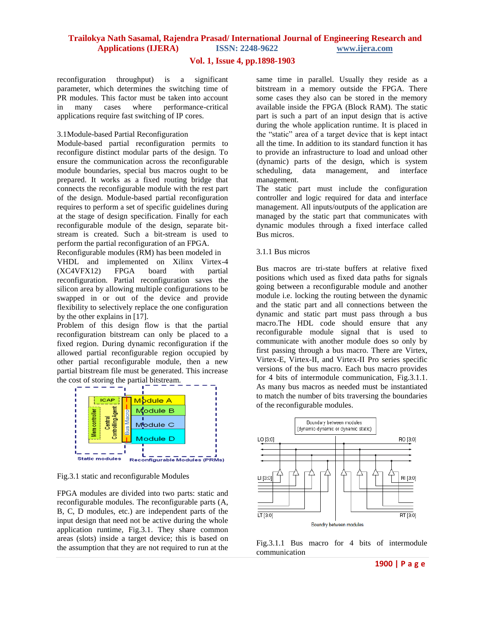### **Vol. 1, Issue 4, pp.1898-1903**

reconfiguration throughput) is a significant parameter, which determines the switching time of PR modules. This factor must be taken into account in many cases where performance-critical applications require fast switching of IP cores.

#### 3.1Module-based Partial Reconfiguration

Module-based partial reconfiguration permits to reconfigure distinct modular parts of the design. To ensure the communication across the reconfigurable module boundaries, special bus macros ought to be prepared. It works as a fixed routing bridge that connects the reconfigurable module with the rest part of the design. Module-based partial reconfiguration requires to perform a set of specific guidelines during at the stage of design specification. Finally for each reconfigurable module of the design, separate bitstream is created. Such a bit-stream is used to perform the partial reconfiguration of an FPGA.

Reconfigurable modules (RM) has been modeled in VHDL and implemented on Xilinx Virtex-4 (XC4VFX12) FPGA board with partial reconfiguration. Partial reconfiguration saves the silicon area by allowing multiple configurations to be swapped in or out of the device and provide flexibility to selectively replace the one configuration by the other explains in [17].

Problem of this design flow is that the partial reconfiguration bitstream can only be placed to a fixed region. During dynamic reconfiguration if the allowed partial reconfigurable region occupied by other partial reconfigurable module, then a new partial bitstream file must be generated. This increase the cost of storing the partial bitstream.



Fig.3.1 static and reconfigurable Modules

FPGA modules are divided into two parts: static and reconfigurable modules. The reconfigurable parts (A, B, C, D modules, etc.) are independent parts of the input design that need not be active during the whole application runtime, Fig.3.1. They share common areas (slots) inside a target device; this is based on the assumption that they are not required to run at the

same time in parallel. Usually they reside as a bitstream in a memory outside the FPGA. There some cases they also can be stored in the memory available inside the FPGA (Block RAM). The static part is such a part of an input design that is active during the whole application runtime. It is placed in the "static" area of a target device that is kept intact all the time. In addition to its standard function it has to provide an infrastructure to load and unload other (dynamic) parts of the design, which is system scheduling, data management, and interface management.

The static part must include the configuration controller and logic required for data and interface management. All inputs/outputs of the application are managed by the static part that communicates with dynamic modules through a fixed interface called Bus micros.

#### 3.1.1 Bus micros

Bus macros are tri-state buffers at relative fixed positions which used as fixed data paths for signals going between a reconfigurable module and another module i.e. locking the routing between the dynamic and the static part and all connections between the dynamic and static part must pass through a bus macro.The HDL code should ensure that any reconfigurable module signal that is used to communicate with another module does so only by first passing through a bus macro. There are Virtex, Virtex-E, Virtex-II, and Virtex-II Pro series specific versions of the bus macro. Each bus macro provides for 4 bits of intermodule communication, Fig.3.1.1. As many bus macros as needed must be instantiated to match the number of bits traversing the boundaries of the reconfigurable modules.



Fig.3.1.1 Bus macro for 4 bits of intermodule communication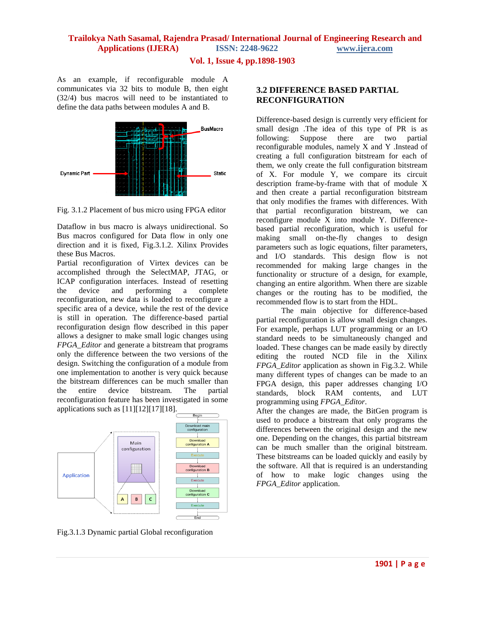### **Vol. 1, Issue 4, pp.1898-1903**

As an example, if reconfigurable module A communicates via 32 bits to module B, then eight (32/4) bus macros will need to be instantiated to define the data paths between modules A and B.



Fig. 3.1.2 Placement of bus micro using FPGA editor

Dataflow in bus macro is always unidirectional. So Bus macros configured for Data flow in only one direction and it is fixed, Fig.3.1.2. Xilinx Provides these Bus Macros.

Partial reconfiguration of Virtex devices can be accomplished through the SelectMAP, JTAG, or ICAP configuration interfaces. Instead of resetting the device and performing a complete reconfiguration, new data is loaded to reconfigure a specific area of a device, while the rest of the device is still in operation. The difference-based partial reconfiguration design flow described in this paper allows a designer to make small logic changes using *FPGA\_Editor* and generate a bitstream that programs only the difference between the two versions of the design. Switching the configuration of a module from one implementation to another is very quick because the bitstream differences can be much smaller than the entire device bitstream. The partial reconfiguration feature has been investigated in some applications such as [11][12][17][18].



Fig.3.1.3 Dynamic partial Global reconfiguration

# **3.2 DIFFERENCE BASED PARTIAL RECONFIGURATION**

Difference-based design is currently very efficient for small design .The idea of this type of PR is as following: Suppose there are two partial reconfigurable modules, namely X and Y .Instead of creating a full configuration bitstream for each of them, we only create the full configuration bitstream of X. For module Y, we compare its circuit description frame-by-frame with that of module X and then create a partial reconfiguration bitstream that only modifies the frames with differences. With that partial reconfiguration bitstream, we can reconfigure module X into module Y. Differencebased partial reconfiguration, which is useful for making small on-the-fly changes to design parameters such as logic equations, filter parameters, and I/O standards. This design flow is not recommended for making large changes in the functionality or structure of a design, for example, changing an entire algorithm. When there are sizable changes or the routing has to be modified, the recommended flow is to start from the HDL.

 The main objective for difference-based partial reconfiguration is allow small design changes. For example, perhaps LUT programming or an I/O standard needs to be simultaneously changed and loaded. These changes can be made easily by directly editing the routed NCD file in the Xilinx *FPGA\_Editor* application as shown in Fig.3.2. While many different types of changes can be made to an FPGA design, this paper addresses changing I/O standards, block RAM contents, and LUT programming using *FPGA\_Editor*.

After the changes are made, the BitGen program is used to produce a bitstream that only programs the differences between the original design and the new one. Depending on the changes, this partial bitstream can be much smaller than the original bitstream. These bitstreams can be loaded quickly and easily by the software. All that is required is an understanding of how to make logic changes using the *FPGA\_Editor* application.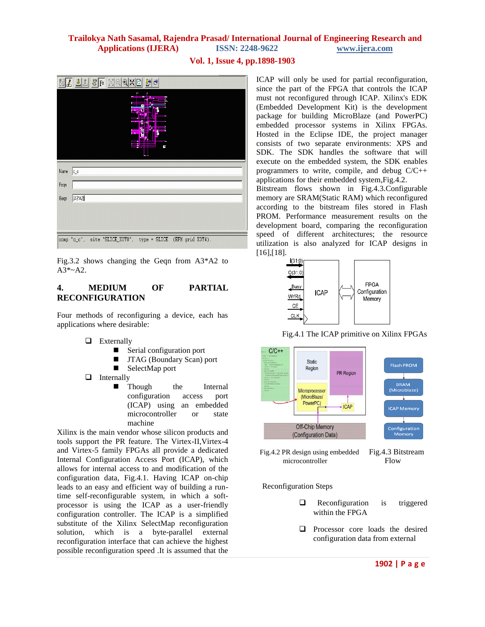# **Vol. 1, Issue 4, pp.1898-1903**

| I    | $\mathbb{Q}[\mathbb{X} \mathbb{D}]$<br>8F<br>X<br>뼭<br>đ<br>$\sqrt{2}$<br>Θ |
|------|-----------------------------------------------------------------------------|
|      | Ŀ                                                                           |
| Name | $ c_c $                                                                     |
| Feqn |                                                                             |
| Gegn | $[AA3^{\circ}A2]$                                                           |
|      |                                                                             |
|      | comp "c_c", site "SLICE_X0Y0", type = SLICE (RPM grid X3Y4).                |

Fig.3.2 shows changing the Geqn from A3\*A2 to A3\*~A2.

# **4. MEDIUM OF PARTIAL RECONFIGURATION**

Four methods of reconfiguring a device, each has applications where desirable:

- **Externally** 
	- Serial configuration port
	- **II** JTAG (Boundary Scan) port
	- SelectMap port
- $\Box$  Internally
	- **n** Though the Internal configuration access port (ICAP) using an embedded microcontroller or state machine

Xilinx is the main vendor whose silicon products and tools support the PR feature. The Virtex-II,Virtex-4 and Virtex-5 family FPGAs all provide a dedicated Internal Configuration Access Port (ICAP), which allows for internal access to and modification of the configuration data, Fig.4.1. Having ICAP on-chip leads to an easy and efficient way of building a runtime self-reconfigurable system, in which a softprocessor is using the ICAP as a user-friendly configuration controller. The ICAP is a simplified substitute of the Xilinx SelectMap reconfiguration solution, which is a byte-parallel external reconfiguration interface that can achieve the highest possible reconfiguration speed .It is assumed that the

ICAP will only be used for partial reconfiguration, since the part of the FPGA that controls the ICAP must not reconfigured through ICAP. Xilinx's EDK (Embedded Development Kit) is the development package for building MicroBlaze (and PowerPC) embedded processor systems in Xilinx FPGAs. Hosted in the [Eclipse IDE,](http://en.wikipedia.org/wiki/Eclipse_(software)) the project manager consists of two separate environments: XPS and SDK. The SDK handles the software that will execute on the embedded system, the SDK enables programmers to write, compile, and debug C/C++ applications for their embedded system,Fig.4.2.

Bitstream flows shown in Fig.4.3.Configurable memory are SRAM(Static RAM) which reconfigured according to the bitstream files stored in Flash PROM. Performance measurement results on the development board, comparing the reconfiguration speed of different architectures; the resource utilization is also analyzed for ICAP designs in [16],[18].



Fig.4.1 The ICAP primitive on Xilinx FPGAs





Reconfiguration Steps

- $\Box$  Reconfiguration is triggered within the FPGA
- **Q** Processor core loads the desired configuration data from external